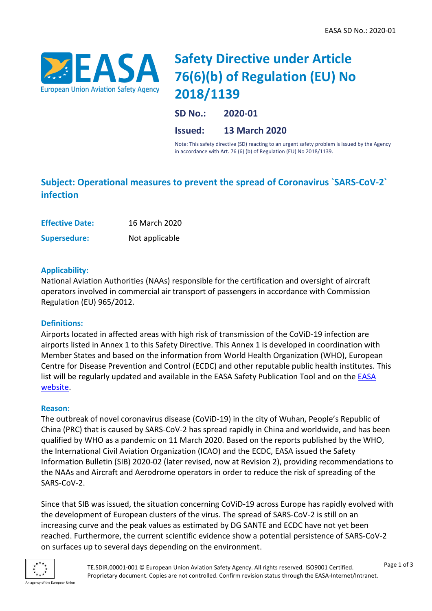

# **Safety Directive under Article 76(6)(b) of Regulation (EU) No 2018/1139**

**SD No.: 2020-01 Issued: 13 March 2020**

Note: This safety directive (SD) reacting to an urgent safety problem is issued by the Agency in accordance with Art. 76 (6) (b) of Regulation (EU) No 2018/1139.

# **Subject: Operational measures to prevent the spread of Coronavirus `SARS-CoV-2` infection**

| <b>Effective Date:</b> | 16 March 2020  |
|------------------------|----------------|
| <b>Supersedure:</b>    | Not applicable |

# **Applicability:**

National Aviation Authorities (NAAs) responsible for the certification and oversight of aircraft operators involved in commercial air transport of passengers in accordance with Commission Regulation (EU) 965/2012.

# **Definitions:**

Airports located in affected areas with high risk of transmission of the CoViD-19 infection are airports listed in Annex 1 to this Safety Directive. This Annex 1 is developed in coordination with Member States and based on the information from World Health Organization (WHO), European Centre for Disease Prevention and Control (ECDC) and other reputable public health institutes. This list will be regularly updated and available in the EASA Safety Publication Tool and on the [EASA](https://www.easa.europa.eu/SD-2020-01/Airports)  [website.](https://www.easa.europa.eu/SD-2020-01/Airports)

#### **Reason:**

The outbreak of novel coronavirus disease (CoViD-19) in the city of Wuhan, People's Republic of China (PRC) that is caused by SARS-CoV-2 has spread rapidly in China and worldwide, and has been qualified by WHO as a pandemic on 11 March 2020. Based on the reports published by the WHO, the International Civil Aviation Organization (ICAO) and the ECDC, EASA issued the Safety Information Bulletin (SIB) 2020-02 (later revised, now at Revision 2), providing recommendations to the NAAs and Aircraft and Aerodrome operators in order to reduce the risk of spreading of the SARS-CoV-2.

Since that SIB was issued, the situation concerning CoViD-19 across Europe has rapidly evolved with the development of European clusters of the virus. The spread of SARS-CoV-2 is still on an increasing curve and the peak values as estimated by DG SANTE and ECDC have not yet been reached. Furthermore, the current scientific evidence show a potential persistence of SARS-CoV-2 on surfaces up to several days depending on the environment.

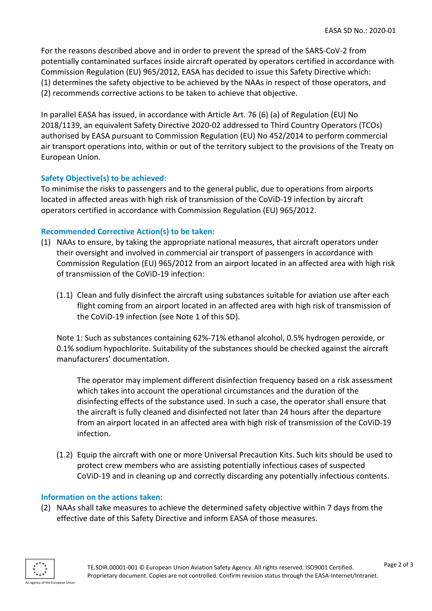For the reasons described above and in order to prevent the spread of the SARS-CoV-2 from potentially contaminated surfaces inside aircraft operated by operators certified in accordance with Commission Regulation (EU) 965/2012, EASA has decided to issue this Safety Directive which: (1) determines the safety objective to be achieved by the NAAs in respect of those operators, and (2) recommends corrective actions to be taken to achieve that objective.

In parallel EASA has issued, in accordance with Article Art. 76 (6) (a) of Regulation (EU) No 2018/1139, an equivalent Safety Directive 2020-02 addressed to Third Country Operators (TCOs) authorised by EASA pursuant to Commission Regulation (EU) No 452/2014 to perform commercial air transport operations into, within or out of the territory subject to the provisions of the Treaty on European Union.

# **Safety Objective(s) to be achieved:**

To minimise the risks to passengers and to the general public, due to operations from airports located in affected areas with high risk of transmission of the CoViD-19 infection by aircraft operators certified in accordance with Commission Regulation (EU) 965/2012.

### **Recommended Corrective Action(s) to be taken:**

- (1) NAAs to ensure, by taking the appropriate national measures, that aircraft operators under their oversight and involved in commercial air transport of passengers in accordance with Commission Regulation (EU) 965/2012 from an airport located in an affected area with high risk of transmission of the CoViD-19 infection:
	- (1.1) Clean and fully disinfect the aircraft using substances suitable for aviation use after each flight coming from an airport located in an affected area with high risk of transmission of the CoViD-19 infection (see Note 1 of this SD).

Note 1: Such as substances containing 62%-71% ethanol alcohol, 0.5% hydrogen peroxide, or 0.1% sodium hypochlorite. Suitability of the substances should be checked against the aircraft manufacturers' documentation.

The operator may implement different disinfection frequency based on a risk assessment which takes into account the operational circumstances and the duration of the disinfecting effects of the substance used. In such a case, the operator shall ensure that the aircraft is fully cleaned and disinfected not later than 24 hours after the departure from an airport located in an affected area with high risk of transmission of the CoViD-19 infection.

(1.2) Equip the aircraft with one or more Universal Precaution Kits. Such kits should be used to protect crew members who are assisting potentially infectious cases of suspected CoViD-19 and in cleaning up and correctly discarding any potentially infectious contents.

#### **Information on the actions taken:**

(2) NAAs shall take measures to achieve the determined safety objective within 7 days from the effective date of this Safety Directive and inform EASA of those measures.